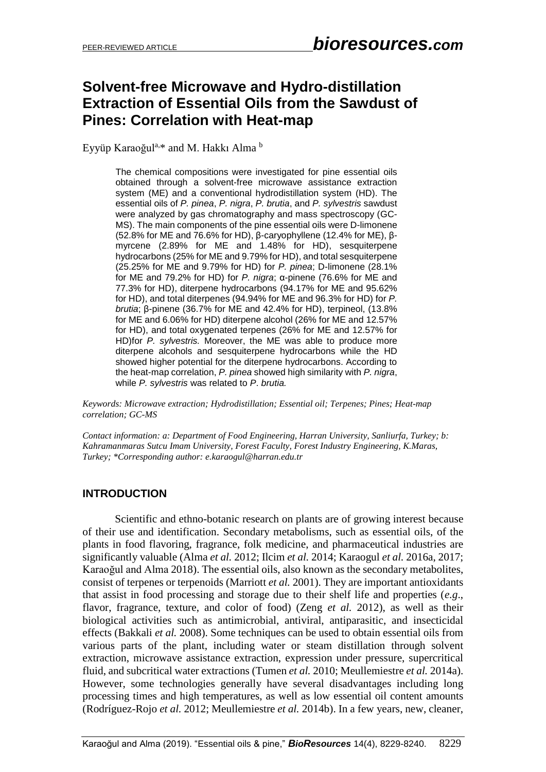## **Solvent-free Microwave and Hydro-distillation Extraction of Essential Oils from the Sawdust of Pines: Correlation with Heat-map**

Eyyüp Karaoğul<sup>a,</sup>\* and M. Hakkı Alma <sup>b</sup>

The chemical compositions were investigated for pine essential oils obtained through a solvent-free microwave assistance extraction system (ME) and a conventional hydrodistillation system (HD). The essential oils of *P. pinea*, *P. nigra*, *P. brutia*, and *P. sylvestris* sawdust were analyzed by gas chromatography and mass spectroscopy (GC-MS). The main components of the pine essential oils were D-limonene (52.8% for ME and 76.6% for HD), β-caryophyllene (12.4% for ME), βmyrcene (2.89% for ME and 1.48% for HD), sesquiterpene hydrocarbons (25% for ME and 9.79% for HD), and total sesquiterpene (25.25% for ME and 9.79% for HD) for *P. pinea*; D-limonene (28.1% for ME and 79.2% for HD) for *P. nigra*; α-pinene (76.6% for ME and 77.3% for HD), diterpene hydrocarbons (94.17% for ME and 95.62% for HD), and total diterpenes (94.94% for ME and 96.3% for HD) for *P. brutia*; β-pinene (36.7% for ME and 42.4% for HD), terpineol, (13.8% for ME and 6.06% for HD) diterpene alcohol (26% for ME and 12.57% for HD), and total oxygenated terpenes (26% for ME and 12.57% for HD)for *P. sylvestris.* Moreover, the ME was able to produce more diterpene alcohols and sesquiterpene hydrocarbons while the HD showed higher potential for the diterpene hydrocarbons. According to the heat-map correlation, *P. pinea* showed high similarity with *P. nigra*, while *P. sylvestris* was related to *P*. *brutia.*

*Keywords: Microwave extraction; Hydrodistillation; Essential oil; Terpenes; Pines; Heat-map correlation; GC-MS* 

*Contact information: a: Department of Food Engineering, Harran University, Sanliurfa, Turkey; b: Kahramanmaras Sutcu Imam University, Forest Faculty, Forest Industry Engineering, K.Maras, Turkey; \*Corresponding author: e.karaogul@harran.edu.tr*

## **INTRODUCTION**

Scientific and ethno-botanic research on plants are of growing interest because of their use and identification. Secondary metabolisms, such as essential oils, of the plants in food flavoring, fragrance, folk medicine, and pharmaceutical industries are significantly valuable (Alma *et al.* 2012; Ilcim *et al.* 2014; Karaogul *et al.* 2016a, 2017; Karaoğul and Alma 2018). The essential oils, also known as the secondary metabolites, consist of terpenes or terpenoids (Marriott *et al.* 2001). They are important antioxidants that assist in food processing and storage due to their shelf life and properties (*e.g*., flavor, fragrance, texture, and color of food) (Zeng *et al.* 2012), as well as their biological activities such as antimicrobial, antiviral, antiparasitic, and insecticidal effects (Bakkali *et al.* 2008). Some techniques can be used to obtain essential oils from various parts of the plant, including water or steam distillation through solvent extraction, microwave assistance extraction, expression under pressure, supercritical fluid, and subcritical water extractions (Tumen *et al.* 2010; Meullemiestre *et al.* 2014a). However, some technologies generally have several disadvantages including long processing times and high temperatures, as well as low essential oil content amounts (Rodríguez-Rojo *et al.* 2012; Meullemiestre *et al.* 2014b). In a few years, new, cleaner,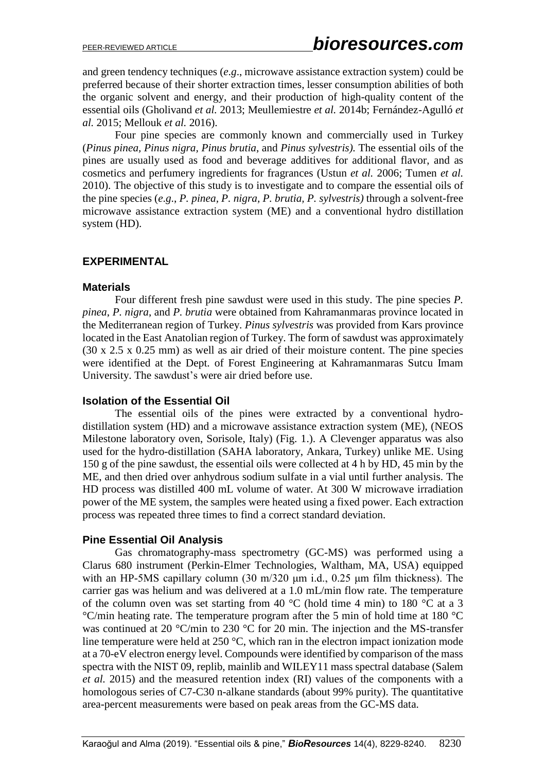and green tendency techniques (*e*.*g*., microwave assistance extraction system) could be preferred because of their shorter extraction times, lesser consumption abilities of both the organic solvent and energy, and their production of high-quality content of the essential oils (Gholivand *et al.* 2013; Meullemiestre *et al.* 2014b; Fernández-Agulló *et al.* 2015; Mellouk *et al.* 2016).

Four pine species are commonly known and commercially used in Turkey (*Pinus pinea, Pinus nigra, Pinus brutia*, and *Pinus sylvestris).* The essential oils of the pines are usually used as food and beverage additives for additional flavor, and as cosmetics and perfumery ingredients for fragrances (Ustun *et al.* 2006; Tumen *et al.* 2010). The objective of this study is to investigate and to compare the essential oils of the pine species (*e*.*g*., *P. pinea, P. nigra, P. brutia, P. sylvestris)* through a solvent-free microwave assistance extraction system (ME) and a conventional hydro distillation system (HD).

#### **EXPERIMENTAL**

#### **Materials**

Four different fresh pine sawdust were used in this study. The pine species *P. pinea*, *P. nigra*, and *P. brutia* were obtained from Kahramanmaras province located in the Mediterranean region of Turkey. *Pinus sylvestris* was provided from Kars province located in the East Anatolian region of Turkey. The form of sawdust was approximately (30 x 2.5 x 0.25 mm) as well as air dried of their moisture content. The pine species were identified at the Dept. of Forest Engineering at Kahramanmaras Sutcu Imam University. The sawdust's were air dried before use.

## **Isolation of the Essential Oil**

The essential oils of the pines were extracted by a conventional hydrodistillation system (HD) and a microwave assistance extraction system (ME), (NEOS Milestone laboratory oven, Sorisole, Italy) (Fig. 1.). A Clevenger apparatus was also used for the hydro-distillation (SAHA laboratory, Ankara, Turkey) unlike ME. Using 150 g of the pine sawdust, the essential oils were collected at 4 h by HD, 45 min by the ME, and then dried over anhydrous sodium sulfate in a vial until further analysis. The HD process was distilled 400 mL volume of water. At 300 W microwave irradiation power of the ME system, the samples were heated using a fixed power. Each extraction process was repeated three times to find a correct standard deviation.

## **Pine Essential Oil Analysis**

Gas chromatography-mass spectrometry (GC-MS) was performed using a Clarus 680 instrument (Perkin-Elmer Technologies, Waltham, MA, USA) equipped with an HP-5MS capillary column (30 m/320 μm i.d., 0.25 μm film thickness). The carrier gas was helium and was delivered at a 1.0 mL/min flow rate. The temperature of the column oven was set starting from 40  $^{\circ}$ C (hold time 4 min) to 180  $^{\circ}$ C at a 3 °C/min heating rate. The temperature program after the 5 min of hold time at 180 °C was continued at 20 °C/min to 230 °C for 20 min. The injection and the MS-transfer line temperature were held at 250 °C, which ran in the electron impact ionization mode at a 70-eV electron energy level. Compounds were identified by comparison of the mass spectra with the NIST 09, replib, mainlib and WILEY11 mass spectral database (Salem *et al.* 2015) and the measured retention index (RI) values of the components with a homologous series of C7-C30 n-alkane standards (about 99% purity). The quantitative area-percent measurements were based on peak areas from the GC-MS data.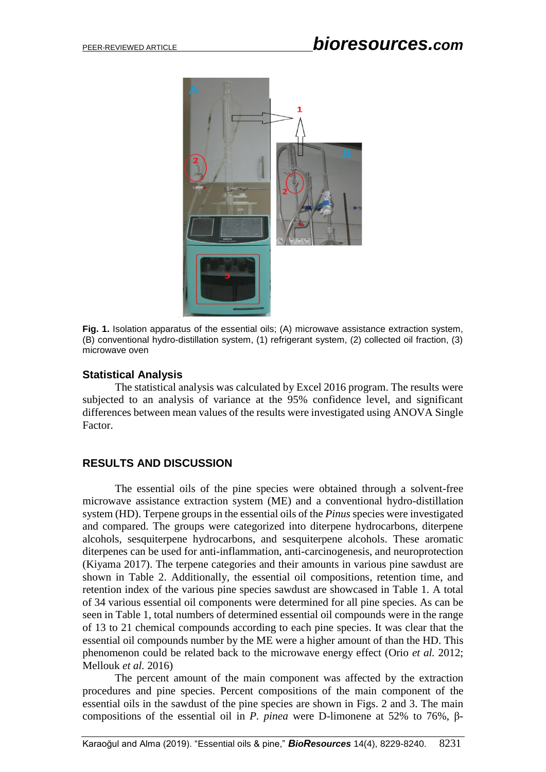

**Fig. 1.** Isolation apparatus of the essential oils; (A) microwave assistance extraction system, (B) conventional hydro-distillation system, (1) refrigerant system, (2) collected oil fraction, (3) microwave oven

#### **Statistical Analysis**

The statistical analysis was calculated by Excel 2016 program. The results were subjected to an analysis of variance at the 95% confidence level, and significant differences between mean values of the results were investigated using ANOVA Single Factor.

#### **RESULTS AND DISCUSSION**

The essential oils of the pine species were obtained through a solvent-free microwave assistance extraction system (ME) and a conventional hydro-distillation system (HD). Terpene groups in the essential oils of the *Pinus* species were investigated and compared. The groups were categorized into diterpene hydrocarbons, diterpene alcohols, sesquiterpene hydrocarbons, and sesquiterpene alcohols. These aromatic diterpenes can be used for anti-inflammation, anti-carcinogenesis, and neuroprotection (Kiyama 2017). The terpene categories and their amounts in various pine sawdust are shown in Table 2. Additionally, the essential oil compositions, retention time, and retention index of the various pine species sawdust are showcased in Table 1. A total of 34 various essential oil components were determined for all pine species. As can be seen in Table 1, total numbers of determined essential oil compounds were in the range of 13 to 21 chemical compounds according to each pine species. It was clear that the essential oil compounds number by the ME were a higher amount of than the HD. This phenomenon could be related back to the microwave energy effect (Orio *et al.* 2012; Mellouk *et al.* 2016)

The percent amount of the main component was affected by the extraction procedures and pine species. Percent compositions of the main component of the essential oils in the sawdust of the pine species are shown in Figs. 2 and 3. The main compositions of the essential oil in *P. pinea* were D-limonene at 52% to 76%, β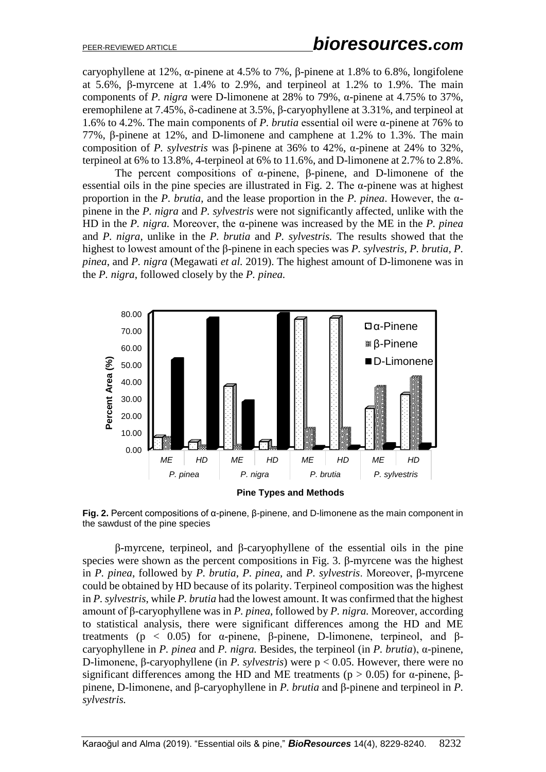caryophyllene at 12%, α-pinene at 4.5% to 7%, β-pinene at 1.8% to 6.8%, longifolene at 5.6%, β-myrcene at 1.4% to 2.9%, and terpineol at 1.2% to 1.9%. The main components of *P. nigra* were D-limonene at 28% to 79%, α-pinene at 4.75% to 37%, eremophilene at 7.45%, δ-cadinene at 3.5%, β-caryophyllene at 3.31%, and terpineol at 1.6% to 4.2%. The main components of *P. brutia* essential oil were α-pinene at 76% to 77%, β-pinene at 12%, and D-limonene and camphene at 1.2% to 1.3%. The main composition of *P. sylvestris* was β-pinene at 36% to 42%, α-pinene at 24% to 32%, terpineol at 6% to 13.8%, 4-terpineol at 6% to 11.6%, and D-limonene at 2.7% to 2.8%.

The percent compositions of α-pinene, β-pinene, and D-limonene of the essential oils in the pine species are illustrated in Fig. 2. The  $\alpha$ -pinene was at highest proportion in the *P. brutia*, and the lease proportion in the *P. pinea*. However, the αpinene in the *P. nigra* and *P. sylvestris* were not significantly affected, unlike with the HD in the *P. nigra.* Moreover, the α-pinene was increased by the ME in the *P. pinea* and *P. nigra*, unlike in the *P. brutia* and *P. sylvestris.* The results showed that the highest to lowest amount of the β-pinene in each species was *P. sylvestris, P. brutia, P. pinea*, and *P. nigra* (Megawati *et al.* 2019). The highest amount of D-limonene was in the *P. nigra*, followed closely by the *P. pinea.*





**Fig. 2.** Percent compositions of α-pinene, β-pinene, and D-limonene as the main component in the sawdust of the pine species

β-myrcene, terpineol, and β-caryophyllene of the essential oils in the pine species were shown as the percent compositions in Fig. 3. β-myrcene was the highest in *P. pinea*, followed by *P. brutia*, *P. pinea,* and *P. sylvestris*. Moreover, β-myrcene could be obtained by HD because of its polarity. Terpineol composition was the highest in *P. sylvestris*, while *P. brutia* had the lowest amount. It was confirmed that the highest amount of β-caryophyllene was in *P. pinea*, followed by *P. nigra.* Moreover, according to statistical analysis, there were significant differences among the HD and ME treatments ( $p < 0.05$ ) for α-pinene, β-pinene, D-limonene, terpineol, and βcaryophyllene in *P. pinea* and *P. nigra.* Besides, the terpineol (in *P. brutia*), α-pinene, D-limonene, β-caryophyllene (in *P. sylvestris*) were p < 0.05. However, there were no significant differences among the HD and ME treatments ( $p > 0.05$ ) for α-pinene, βpinene, D-limonene, and β-caryophyllene in *P. brutia* and β-pinene and terpineol in *P. sylvestris.*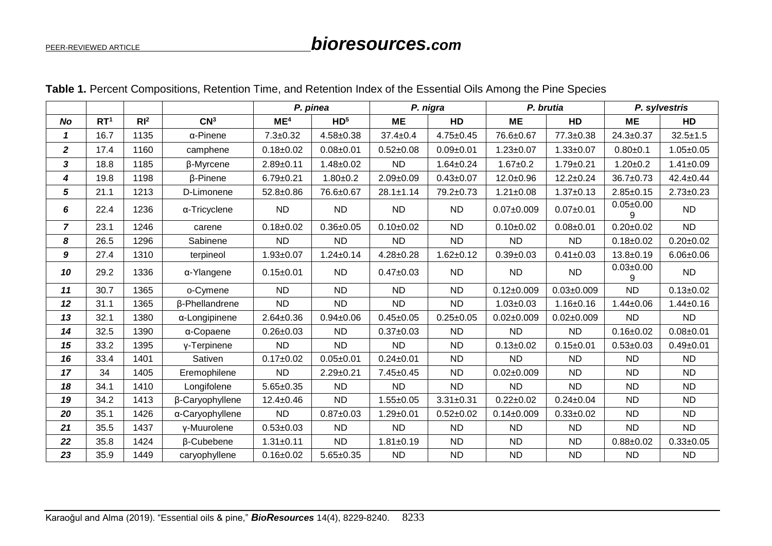# PEER-REVIEWED ARTICLE *bioresources.com*

|                  |                 |                 |                  | P. pinea        |                 | P. nigra        |                 | P. brutia        |                  | P. sylvestris        |                 |
|------------------|-----------------|-----------------|------------------|-----------------|-----------------|-----------------|-----------------|------------------|------------------|----------------------|-----------------|
| <b>No</b>        | RT <sup>1</sup> | RI <sup>2</sup> | CN <sup>3</sup>  | ME <sup>4</sup> | HD <sup>5</sup> | <b>ME</b>       | HD              | <b>ME</b>        | HD               | <b>ME</b>            | HD              |
| $\mathbf{1}$     | 16.7            | 1135            | $\alpha$ -Pinene | $7.3 + 0.32$    | $4.58 + 0.38$   | $37.4 \pm 0.4$  | $4.75 \pm 0.45$ | 76.6±0.67        | 77.3±0.38        | $24.3 \pm 0.37$      | $32.5 \pm 1.5$  |
| $\boldsymbol{2}$ | 17.4            | 1160            | camphene         | $0.18 \pm 0.02$ | $0.08 + 0.01$   | $0.52 \pm 0.08$ | $0.09 + 0.01$   | $1.23 \pm 0.07$  | $1.33 + 0.07$    | $0.80 + 0.1$         | $1.05 \pm 0.05$ |
| 3                | 18.8            | 1185            | β-Myrcene        | $2.89 + 0.11$   | $1.48 + 0.02$   | <b>ND</b>       | $1.64 \pm 0.24$ | $1.67 + 0.2$     | $1.79 \pm 0.21$  | $1.20 + 0.2$         | $1.41 \pm 0.09$ |
| 4                | 19.8            | 1198            | $\beta$ -Pinene  | $6.79 \pm 0.21$ | $1.80 + 0.2$    | $2.09 \pm 0.09$ | $0.43 + 0.07$   | $12.0 + 0.96$    | $12.2 \pm 0.24$  | $36.7 \pm 0.73$      | $42.4 \pm 0.44$ |
| 5                | 21.1            | 1213            | D-Limonene       | $52.8 + 0.86$   | 76.6±0.67       | $28.1 \pm 1.14$ | 79.2±0.73       | $1.21 \pm 0.08$  | $1.37 + 0.13$    | $2.85 \pm 0.15$      | $2.73 \pm 0.23$ |
| 6                | 22.4            | 1236            | α-Tricyclene     | <b>ND</b>       | <b>ND</b>       | <b>ND</b>       | <b>ND</b>       | $0.07 \pm 0.009$ | $0.07 + 0.01$    | $0.05 \pm 0.00$<br>9 | <b>ND</b>       |
| 7                | 23.1            | 1246            | carene           | $0.18 + 0.02$   | $0.36 + 0.05$   | $0.10 + 0.02$   | <b>ND</b>       | $0.10 \pm 0.02$  | $0.08 + 0.01$    | $0.20 \pm 0.02$      | <b>ND</b>       |
| 8                | 26.5            | 1296            | Sabinene         | <b>ND</b>       | <b>ND</b>       | <b>ND</b>       | <b>ND</b>       | <b>ND</b>        | <b>ND</b>        | $0.18 + 0.02$        | $0.20 + 0.02$   |
| 9                | 27.4            | 1310            | terpineol        | $1.93 + 0.07$   | $1.24 \pm 0.14$ | $4.28 \pm 0.28$ | $1.62 \pm 0.12$ | $0.39 + 0.03$    | $0.41 \pm 0.03$  | $13.8 + 0.19$        | $6.06 \pm 0.06$ |
| 10               | 29.2            | 1336            | α-Ylangene       | $0.15 \pm 0.01$ | <b>ND</b>       | $0.47 \pm 0.03$ | <b>ND</b>       | <b>ND</b>        | <b>ND</b>        | $0.03 + 0.00$<br>9   | <b>ND</b>       |
| 11               | 30.7            | 1365            | o-Cymene         | <b>ND</b>       | <b>ND</b>       | <b>ND</b>       | <b>ND</b>       | $0.12 \pm 0.009$ | $0.03 \pm 0.009$ | <b>ND</b>            | $0.13 \pm 0.02$ |
| 12               | 31.1            | 1365            | β-Phellandrene   | <b>ND</b>       | <b>ND</b>       | <b>ND</b>       | <b>ND</b>       | $1.03 + 0.03$    | $1.16 \pm 0.16$  | $1.44 \pm 0.06$      | $1.44 \pm 0.16$ |
| 13               | 32.1            | 1380            | α-Longipinene    | $2.64 \pm 0.36$ | $0.94 \pm 0.06$ | $0.45 \pm 0.05$ | $0.25 \pm 0.05$ | $0.02 \pm 0.009$ | $0.02 \pm 0.009$ | <b>ND</b>            | <b>ND</b>       |
| 14               | 32.5            | 1390            | α-Copaene        | $0.26 \pm 0.03$ | <b>ND</b>       | $0.37 \pm 0.03$ | <b>ND</b>       | <b>ND</b>        | <b>ND</b>        | $0.16 + 0.02$        | $0.08 + 0.01$   |
| 15               | 33.2            | 1395            | y-Terpinene      | <b>ND</b>       | <b>ND</b>       | <b>ND</b>       | <b>ND</b>       | $0.13 \pm 0.02$  | $0.15 \pm 0.01$  | $0.53 + 0.03$        | $0.49 + 0.01$   |
| 16               | 33.4            | 1401            | Sativen          | $0.17 \pm 0.02$ | $0.05 \pm 0.01$ | $0.24 \pm 0.01$ | <b>ND</b>       | <b>ND</b>        | <b>ND</b>        | <b>ND</b>            | <b>ND</b>       |
| 17               | 34              | 1405            | Eremophilene     | <b>ND</b>       | $2.29 \pm 0.21$ | $7.45 \pm 0.45$ | <b>ND</b>       | $0.02 \pm 0.009$ | <b>ND</b>        | <b>ND</b>            | <b>ND</b>       |
| 18               | 34.1            | 1410            | Longifolene      | $5.65 \pm 0.35$ | <b>ND</b>       | <b>ND</b>       | <b>ND</b>       | <b>ND</b>        | <b>ND</b>        | <b>ND</b>            | <b>ND</b>       |
| 19               | 34.2            | 1413            | β-Caryophyllene  | $12.4 \pm 0.46$ | <b>ND</b>       | $1.55 \pm 0.05$ | $3.31 \pm 0.31$ | $0.22 \pm 0.02$  | $0.24 \pm 0.04$  | <b>ND</b>            | <b>ND</b>       |
| 20               | 35.1            | 1426            | α-Caryophyllene  | <b>ND</b>       | $0.87 + 0.03$   | $1.29 \pm 0.01$ | $0.52 \pm 0.02$ | $0.14 \pm 0.009$ | $0.33 + 0.02$    | <b>ND</b>            | <b>ND</b>       |
| 21               | 35.5            | 1437            | y-Muurolene      | $0.53 \pm 0.03$ | <b>ND</b>       | <b>ND</b>       | <b>ND</b>       | <b>ND</b>        | <b>ND</b>        | <b>ND</b>            | <b>ND</b>       |
| 22               | 35.8            | 1424            | β-Cubebene       | $1.31 \pm 0.11$ | <b>ND</b>       | $1.81 \pm 0.19$ | <b>ND</b>       | ND.              | <b>ND</b>        | $0.88 + 0.02$        | $0.33 + 0.05$   |
| 23               | 35.9            | 1449            | caryophyllene    | $0.16 \pm 0.02$ | $5.65 \pm 0.35$ | <b>ND</b>       | <b>ND</b>       | <b>ND</b>        | <b>ND</b>        | <b>ND</b>            | <b>ND</b>       |

## **Table 1.** Percent Compositions, Retention Time, and Retention Index of the Essential Oils Among the Pine Species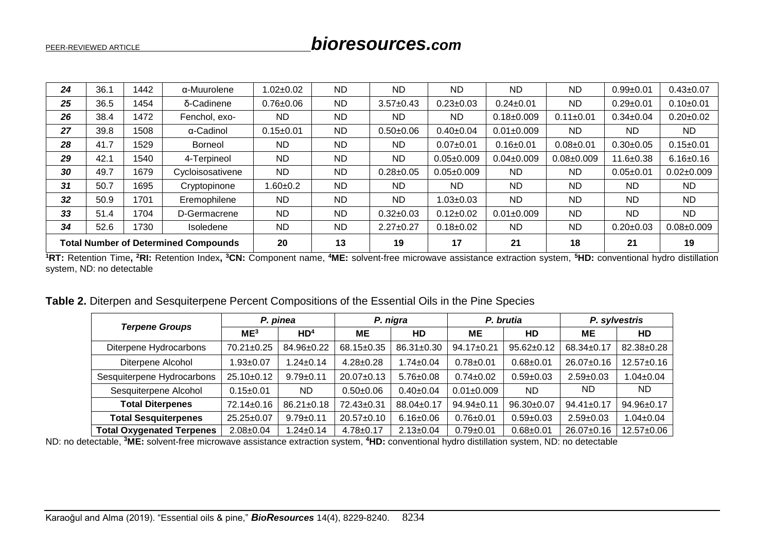| 24                                          | 36.1 | 1442 | α-Muurolene      | $.02 + 0.02$    | <b>ND</b> | <b>ND</b>       | <b>ND</b>        | <b>ND</b>        | <b>ND</b>        | $0.99 + 0.01$   | $0.43 \pm 0.07$  |
|---------------------------------------------|------|------|------------------|-----------------|-----------|-----------------|------------------|------------------|------------------|-----------------|------------------|
| 25                                          | 36.5 | 1454 | δ-Cadinene       | $0.76 \pm 0.06$ | <b>ND</b> | $3.57 \pm 0.43$ | $0.23 \pm 0.03$  | $0.24 \pm 0.01$  | <b>ND</b>        | $0.29 \pm 0.01$ | $0.10+0.01$      |
| 26                                          | 38.4 | 1472 | Fenchol, exo-    | <b>ND</b>       | ND.       | <b>ND</b>       | <b>ND</b>        | $0.18 \pm 0.009$ | $0.11 \pm 0.01$  | $0.34 \pm 0.04$ | $0.20 \pm 0.02$  |
| 27                                          | 39.8 | 1508 | α-Cadinol        | $0.15 \pm 0.01$ | <b>ND</b> | $0.50 + 0.06$   | $0.40 \pm 0.04$  | $0.01 \pm 0.009$ | <b>ND</b>        | <b>ND</b>       | <b>ND</b>        |
| 28                                          | 41.7 | 1529 | <b>Borneol</b>   | <b>ND</b>       | ND.       | <b>ND</b>       | $0.07 + 0.01$    | $0.16 \pm 0.01$  | $0.08 + 0.01$    | $0.30 + 0.05$   | $0.15 \pm 0.01$  |
| 29                                          | 42.1 | 1540 | 4-Terpineol      | <b>ND</b>       | ND.       | <b>ND</b>       | $0.05 \pm 0.009$ | $0.04 \pm 0.009$ | $0.08 \pm 0.009$ | $11.6 \pm 0.38$ | $6.16 \pm 0.16$  |
| 30                                          | 49.7 | 1679 | Cycloisosativene | <b>ND</b>       | <b>ND</b> | $0.28 \pm 0.05$ | $0.05 \pm 0.009$ | <b>ND</b>        | <b>ND</b>        | $0.05 + 0.01$   | $0.02 \pm 0.009$ |
| 31                                          | 50.7 | 1695 | Cryptopinone     | $1.60 + 0.2$    | ND.       | <b>ND</b>       | ND.              | <b>ND</b>        | <b>ND</b>        | ND.             | ND.              |
| 32                                          | 50.9 | 1701 | Eremophilene     | <b>ND</b>       | ND.       | <b>ND</b>       | $1.03 \pm 0.03$  | <b>ND</b>        | <b>ND</b>        | ND.             | <b>ND</b>        |
| 33                                          | 51.4 | 1704 | D-Germacrene     | <b>ND</b>       | ND.       | $0.32 \pm 0.03$ | $0.12 \pm 0.02$  | $0.01 \pm 0.009$ | <b>ND</b>        | <b>ND</b>       | <b>ND</b>        |
| 34                                          | 52.6 | 1730 | Isoledene        | <b>ND</b>       | <b>ND</b> | $2.27 \pm 0.27$ | $0.18 \pm 0.02$  | <b>ND</b>        | <b>ND</b>        | $0.20 \pm 0.03$ | $0.08 \pm 0.009$ |
| <b>Total Number of Determined Compounds</b> |      |      | 20               | 13              | 19        | 17              | 21               | 18               | 21               | 19              |                  |

<sup>1</sup>RT: Retention Time, <sup>2</sup>RI: Retention Index, <sup>3</sup>CN: Component name, <sup>4</sup>ME: solvent-free microwave assistance extraction system, <sup>5</sup>HD: conventional hydro distillation system, ND: no detectable

|  |  |  | Table 2. Diterpen and Sesquiterpene Percent Compositions of the Essential Oils in the Pine Species |  |  |
|--|--|--|----------------------------------------------------------------------------------------------------|--|--|
|--|--|--|----------------------------------------------------------------------------------------------------|--|--|

| <b>Terpene Groups</b>            | P. pinea         |                  |                  | P. nigra        |                  | P. brutia        | P. sylvestris    |                  |
|----------------------------------|------------------|------------------|------------------|-----------------|------------------|------------------|------------------|------------------|
|                                  | ME <sup>3</sup>  | HD <sup>4</sup>  | <b>ME</b>        | HD              | <b>ME</b>        | HD               | ME               | HD               |
| Diterpene Hydrocarbons           | 70.21±0.25       | 84.96±0.22       | $68.15 \pm 0.35$ | 86.31±0.30      | 94.17±0.21       | $95.62 \pm 0.12$ | 68.34±0.17       | 82.38±0.28       |
| Diterpene Alcohol                | $.93 \pm 0.07$   | $.24 \pm 0.14$   | $4.28 \pm 0.28$  | $1.74 \pm 0.04$ | $0.78 + 0.01$    | $0.68 + 0.01$    | $26.07 \pm 0.16$ | 12.57±0.16       |
| Sesquiterpene Hydrocarbons       | $25.10+0.12$     | $9.79 + 0.11$    | $20.07 \pm 0.13$ | $5.76 \pm 0.08$ | $0.74 \pm 0.02$  | $0.59 + 0.03$    | $2.59 \pm 0.03$  | $1.04 \pm 0.04$  |
| Sesquiterpene Alcohol            | $0.15 \pm 0.01$  | ND.              | $0.50 \pm 0.06$  | $0.40 \pm 0.04$ | $0.01 \pm 0.009$ | <b>ND</b>        | ND.              | ND.              |
| <b>Total Diterpenes</b>          | 72.14±0.16       | $86.21 \pm 0.18$ | 72.43±0.31       | 88.04±0.17      | $94.94 \pm 0.11$ | $96.30 \pm 0.07$ | $94.41 \pm 0.17$ | 94.96±0.17       |
| <b>Total Sesquiterpenes</b>      | $25.25 \pm 0.07$ | $9.79 + 0.11$    | $20.57 \pm 0.10$ | $6.16 \pm 0.06$ | $0.76 \pm 0.01$  | $0.59 + 0.03$    | $2.59 \pm 0.03$  | $1.04 \pm 0.04$  |
| <b>Total Oxygenated Terpenes</b> | $2.08 \pm 0.04$  | $.24 \pm 0.14$   | $4.78 \pm 0.17$  | $2.13 \pm 0.04$ | $0.79 + 0.01$    | $0.68 + 0.01$    | $26.07 \pm 0.16$ | $12.57 \pm 0.06$ |

ND: no detectable, **<sup>3</sup>ME:** solvent-free microwave assistance extraction system, **<sup>4</sup>HD:** conventional hydro distillation system, ND: no detectable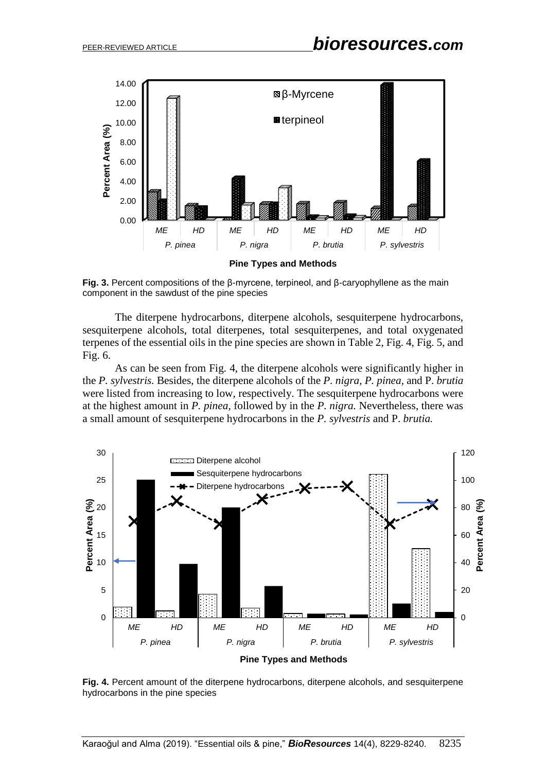

**Fig. 3.** Percent compositions of the β-myrcene, terpineol, and β-caryophyllene as the main component in the sawdust of the pine species

The diterpene hydrocarbons, diterpene alcohols, sesquiterpene hydrocarbons, sesquiterpene alcohols, total diterpenes, total sesquiterpenes, and total oxygenated terpenes of the essential oils in the pine species are shown in Table 2, Fig. 4, Fig. 5, and Fig. 6.

As can be seen from Fig. 4, the diterpene alcohols were significantly higher in the *P. sylvestris.* Besides, the diterpene alcohols of the *P. nigra, P. pinea,* and P. *brutia* were listed from increasing to low, respectively. The sesquiterpene hydrocarbons were at the highest amount in *P. pinea*, followed by in the *P. nigra.* Nevertheless, there was a small amount of sesquiterpene hydrocarbons in the *P. sylvestris* and P. *brutia.*



**Fig. 4.** Percent amount of the diterpene hydrocarbons, diterpene alcohols, and sesquiterpene hydrocarbons in the pine species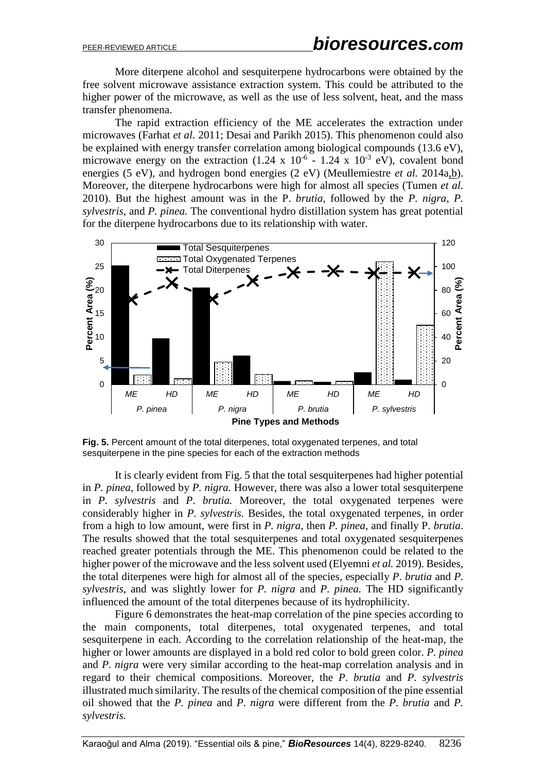More diterpene alcohol and sesquiterpene hydrocarbons were obtained by the free solvent microwave assistance extraction system. This could be attributed to the higher power of the microwave, as well as the use of less solvent, heat, and the mass transfer phenomena.

The rapid extraction efficiency of the ME accelerates the extraction under microwaves (Farhat *et al.* 2011; Desai and Parikh 2015). This phenomenon could also be explained with energy transfer correlation among biological compounds (13.6 eV), microwave energy on the extraction  $(1.24 \times 10^{-6} - 1.24 \times 10^{-3} \text{ eV})$ , covalent bond energies (5 eV), and hydrogen bond energies (2 eV) (Meullemiestre *et al.* 2014a, b). Moreover, the diterpene hydrocarbons were high for almost all species (Tumen *et al.*  2010). But the highest amount was in the P. *brutia*, followed by the *P. nigra*, *P. sylvestris*, and *P. pinea.* The conventional hydro distillation system has great potential for the diterpene hydrocarbons due to its relationship with water.



**Fig. 5.** Percent amount of the total diterpenes, total oxygenated terpenes, and total sesquiterpene in the pine species for each of the extraction methods

It is clearly evident from Fig. 5 that the total sesquiterpenes had higher potential in *P. pinea*, followed by *P. nigra.* However, there was also a lower total sesquiterpene in *P. sylvestris* and *P*. *brutia.* Moreover, the total oxygenated terpenes were considerably higher in *P. sylvestris.* Besides, the total oxygenated terpenes, in order from a high to low amount, were first in *P. nigra,* then *P. pinea,* and finally P. *brutia*. The results showed that the total sesquiterpenes and total oxygenated sesquiterpenes reached greater potentials through the ME. This phenomenon could be related to the higher power of the microwave and the less solvent used (Elyemni *et al.* 2019). Besides, the total diterpenes were high for almost all of the species, especially *P*. *brutia* and *P. sylvestris*, and was slightly lower for *P. nigra* and *P. pinea.* The HD significantly influenced the amount of the total diterpenes because of its hydrophilicity.

Figure 6 demonstrates the heat-map correlation of the pine species according to the main components, total diterpenes, total oxygenated terpenes, and total sesquiterpene in each. According to the correlation relationship of the heat-map, the higher or lower amounts are displayed in a bold red color to bold green color. *P. pinea*  and *P. nigra* were very similar according to the heat-map correlation analysis and in regard to their chemical compositions. Moreover, the *P*. *brutia* and *P. sylvestris* illustrated much similarity. The results of the chemical composition of the pine essential oil showed that the *P. pinea* and *P. nigra* were different from the *P*. *brutia* and *P. sylvestris.*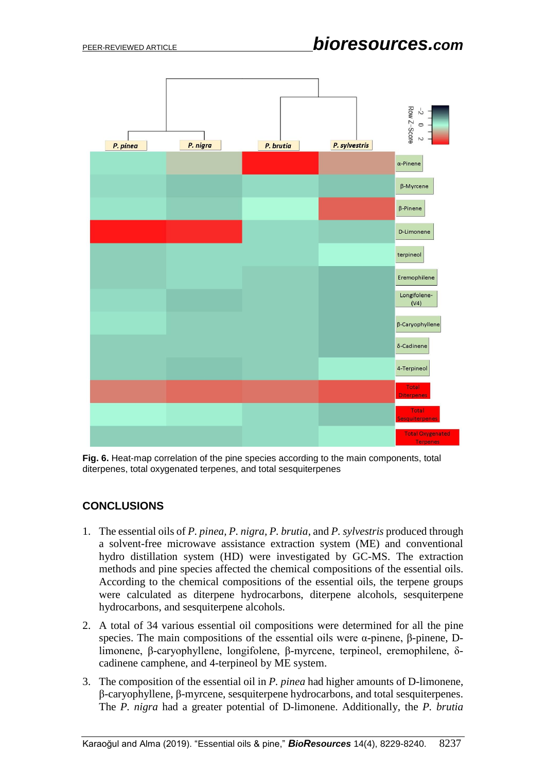

**Fig. 6.** Heat-map correlation of the pine species according to the main components, total diterpenes, total oxygenated terpenes, and total sesquiterpenes

## **CONCLUSIONS**

- 1. The essential oils of *P. pinea, P. nigra, P. brutia*, and *P. sylvestris* produced through a solvent-free microwave assistance extraction system (ME) and conventional hydro distillation system (HD) were investigated by GC-MS. The extraction methods and pine species affected the chemical compositions of the essential oils. According to the chemical compositions of the essential oils, the terpene groups were calculated as diterpene hydrocarbons, diterpene alcohols, sesquiterpene hydrocarbons, and sesquiterpene alcohols.
- 2. A total of 34 various essential oil compositions were determined for all the pine species. The main compositions of the essential oils were α-pinene, β-pinene, Dlimonene, β-caryophyllene, longifolene, β-myrcene, terpineol, eremophilene, δcadinene camphene, and 4-terpineol by ME system.
- 3. The composition of the essential oil in *P. pinea* had higher amounts of D-limonene, β-caryophyllene, β-myrcene, sesquiterpene hydrocarbons, and total sesquiterpenes. The *P. nigra* had a greater potential of D-limonene. Additionally, the *P. brutia*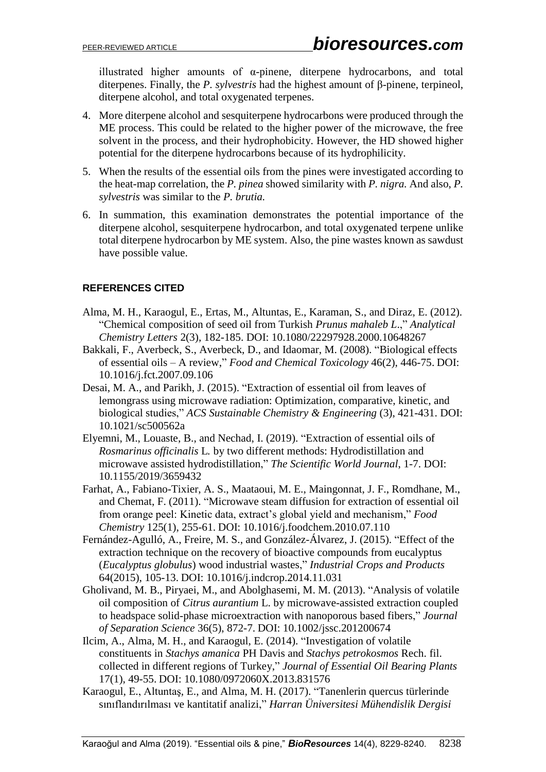illustrated higher amounts of α-pinene, diterpene hydrocarbons, and total diterpenes. Finally, the *P. sylvestris* had the highest amount of β-pinene, terpineol, diterpene alcohol, and total oxygenated terpenes.

- 4. More diterpene alcohol and sesquiterpene hydrocarbons were produced through the ME process. This could be related to the higher power of the microwave, the free solvent in the process, and their hydrophobicity. However, the HD showed higher potential for the diterpene hydrocarbons because of its hydrophilicity.
- 5. When the results of the essential oils from the pines were investigated according to the heat-map correlation, the *P. pinea* showed similarity with *P. nigra.* And also, *P. sylvestris* was similar to the *P. brutia.*
- 6. In summation, this examination demonstrates the potential importance of the diterpene alcohol, sesquiterpene hydrocarbon, and total oxygenated terpene unlike total diterpene hydrocarbon by ME system. Also, the pine wastes known as sawdust have possible value.

## **REFERENCES CITED**

- Alma, M. H., Karaogul, E., Ertas, M., Altuntas, E., Karaman, S., and Diraz, E. (2012). "Chemical composition of seed oil from Turkish *Prunus mahaleb L*.," *Analytical Chemistry Letters* 2(3), 182-185. DOI: 10.1080/22297928.2000.10648267
- Bakkali, F., Averbeck, S., Averbeck, D., and Idaomar, M. (2008). "Biological effects of essential oils – A review," *Food and Chemical Toxicology* 46(2), 446-75. DOI: 10.1016/j.fct.2007.09.106
- Desai, M. A., and Parikh, J. (2015). "Extraction of essential oil from leaves of lemongrass using microwave radiation: Optimization, comparative, kinetic, and biological studies," *ACS Sustainable Chemistry & Engineering* (3), 421-431. DOI: 10.1021/sc500562a
- Elyemni, M., Louaste, B., and Nechad, I. (2019). "Extraction of essential oils of *Rosmarinus officinalis* L*.* by two different methods: Hydrodistillation and microwave assisted hydrodistillation," *The Scientific World Journal*, 1-7. DOI: 10.1155/2019/3659432
- Farhat, A., Fabiano-Tixier, A. S., Maataoui, M. E., Maingonnat, J. F., Romdhane, M., and Chemat, F. (2011). "Microwave steam diffusion for extraction of essential oil from orange peel: Kinetic data, extract's global yield and mechanism," *Food Chemistry* 125(1), 255-61. DOI: 10.1016/j.foodchem.2010.07.110
- Fernández-Agulló, A., Freire, M. S., and González-Álvarez, J. (2015). "Effect of the extraction technique on the recovery of bioactive compounds from eucalyptus (*Eucalyptus globulus*) wood industrial wastes," *Industrial Crops and Products* 64(2015), 105-13. DOI: 10.1016/j.indcrop.2014.11.031
- Gholivand, M. B., Piryaei, M., and Abolghasemi, M. M. (2013). "Analysis of volatile oil composition of *Citrus aurantium* L. by microwave-assisted extraction coupled to headspace solid-phase microextraction with nanoporous based fibers," *Journal of Separation Science* 36(5), 872-7. DOI: 10.1002/jssc.201200674
- Ilcim, A., Alma, M. H., and Karaogul, E. (2014). "Investigation of volatile constituents in *Stachys amanica* PH Davis and *Stachys petrokosmos* Rech. fil. collected in different regions of Turkey," *Journal of Essential Oil Bearing Plants* 17(1), 49-55. DOI: 10.1080/0972060X.2013.831576
- Karaogul, E., Altuntaş, E., and Alma, M. H. (2017). "Tanenlerin quercus türlerinde sınıflandırılması ve kantitatif analizi," *Harran Üniversitesi Mühendislik Dergisi*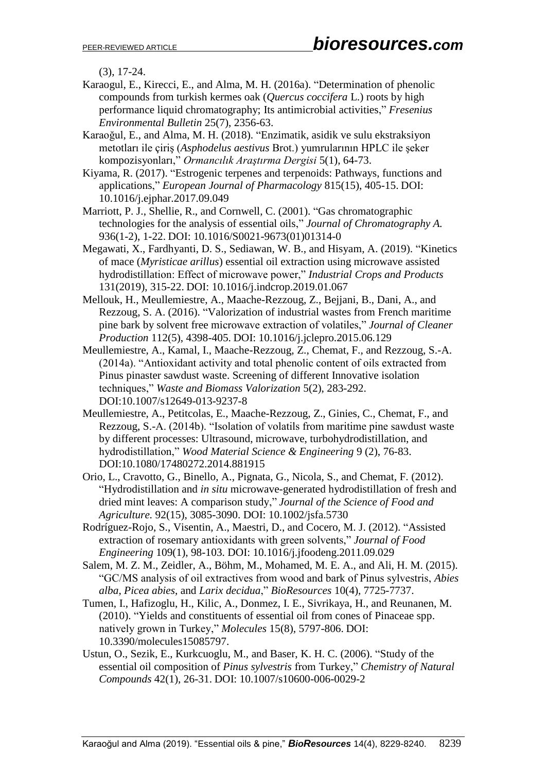(3), 17-24.

Karaogul, E., Kirecci, E., and Alma, M. H. (2016a). "Determination of phenolic compounds from turkish kermes oak (*Quercus coccifera* L.) roots by high performance liquid chromatography; Its antimicrobial activities," *Fresenius Environmental Bulletin* 25(7), 2356-63.

Karaoğul, E., and Alma, M. H. (2018). "Enzimatik, asidik ve sulu ekstraksiyon metotları ile çiriş (*Asphodelus aestivus* Brot.) yumrularının HPLC ile şeker kompozisyonları," *Ormancılık Araştırma Dergisi* 5(1), 64-73.

Kiyama, R. (2017). "Estrogenic terpenes and terpenoids: Pathways, functions and applications," *European Journal of Pharmacology* 815(15), 405-15. DOI: 10.1016/j.ejphar.2017.09.049

Marriott, P. J., Shellie, R., and Cornwell, C. (2001). "Gas chromatographic technologies for the analysis of essential oils," *Journal of Chromatography A.* 936(1-2), 1-22. DOI: 10.1016/S0021-9673(01)01314-0

Megawati, X., Fardhyanti, D. S., Sediawan, W. B., and Hisyam, A. (2019). "Kinetics of mace (*Myristicae arillus*) essential oil extraction using microwave assisted hydrodistillation: Effect of microwave power," *Industrial Crops and Products* 131(2019), 315-22. DOI: 10.1016/j.indcrop.2019.01.067

Mellouk, H., Meullemiestre, A., Maache-Rezzoug, Z., Bejjani, B., Dani, A., and Rezzoug, S. A. (2016). "Valorization of industrial wastes from French maritime pine bark by solvent free microwave extraction of volatiles," *Journal of Cleaner Production* 112(5), 4398-405. DOI: 10.1016/j.jclepro.2015.06.129

- Meullemiestre, A., Kamal, I., Maache-Rezzoug, Z., Chemat, F., and Rezzoug, S.-A. (2014a). "Antioxidant activity and total phenolic content of oils extracted from Pinus pinaster sawdust waste. Screening of different Innovative isolation techniques," *Waste and Biomass Valorization* 5(2), 283-292. DOI:10.1007/s12649-013-9237-8
- Meullemiestre, A., Petitcolas, E., Maache-Rezzoug, Z., Ginies, C., Chemat, F., and Rezzoug, S.-A. (2014b). "Isolation of volatils from maritime pine sawdust waste by different processes: Ultrasound, microwave, turbohydrodistillation, and hydrodistillation," *Wood Material Science & Engineering* 9 (2), 76-83. DOI:10.1080/17480272.2014.881915

Orio, L., Cravotto, G., Binello, A., Pignata, G., Nicola, S., and Chemat, F. (2012). "Hydrodistillation and *in situ* microwave-generated hydrodistillation of fresh and dried mint leaves: A comparison study," *Journal of the Science of Food and Agriculture.* 92(15), 3085-3090. DOI: 10.1002/jsfa.5730

- Rodríguez-Rojo, S., Visentin, A., Maestri, D., and Cocero, M. J. (2012). "Assisted extraction of rosemary antioxidants with green solvents," *Journal of Food Engineering* 109(1), 98-103. DOI: 10.1016/j.jfoodeng.2011.09.029
- Salem, M. Z. M., Zeidler, A., Böhm, M., Mohamed, M. E. A., and Ali, H. M. (2015). "GC/MS analysis of oil extractives from wood and bark of Pinus sylvestris, *Abies alba*, *Picea abies*, and *Larix decidua*," *BioResources* 10(4), 7725-7737.
- Tumen, I., Hafizoglu, H., Kilic, A., Donmez, I. E., Sivrikaya, H., and Reunanen, M. (2010). "Yields and constituents of essential oil from cones of Pinaceae spp. natively grown in Turkey," *Molecules* 15(8), 5797-806. DOI: 10.3390/molecules15085797.
- Ustun, O., Sezik, E., Kurkcuoglu, M., and Baser, K. H. C. (2006). "Study of the essential oil composition of *Pinus sylvestris* from Turkey," *Chemistry of Natural Compounds* 42(1), 26-31. DOI: 10.1007/s10600-006-0029-2